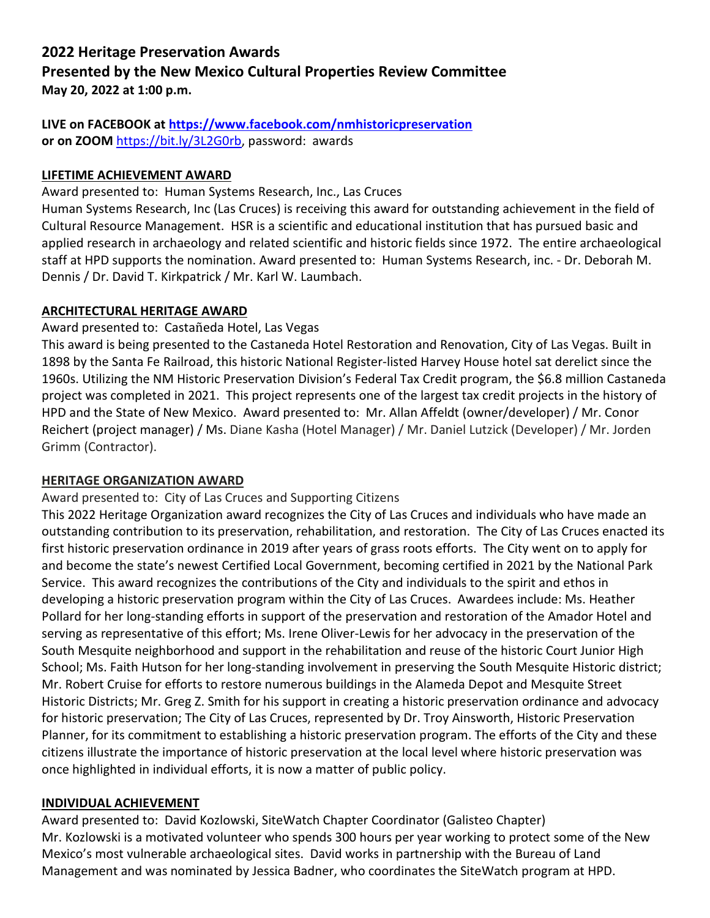# **2022 Heritage Preservation Awards Presented by the New Mexico Cultural Properties Review Committee May 20, 2022 at 1:00 p.m.**

# **LIVE on FACEBOOK at<https://www.facebook.com/nmhistoricpreservation> or on ZOOM** [https://bit.ly/3L2G0rb,](https://bit.ly/3L2G0rb) password: awards

# **LIFETIME ACHIEVEMENT AWARD**

Award presented to: Human Systems Research, Inc., Las Cruces

Human Systems Research, Inc (Las Cruces) is receiving this award for outstanding achievement in the field of Cultural Resource Management. HSR is a scientific and educational institution that has pursued basic and applied research in archaeology and related scientific and historic fields since 1972. The entire archaeological staff at HPD supports the nomination. Award presented to: Human Systems Research, inc. - Dr. Deborah M. Dennis / Dr. David T. Kirkpatrick / Mr. Karl W. Laumbach.

### **ARCHITECTURAL HERITAGE AWARD**

# Award presented to: Castañeda Hotel, Las Vegas

This award is being presented to the Castaneda Hotel Restoration and Renovation, City of Las Vegas. Built in 1898 by the Santa Fe Railroad, this historic National Register-listed Harvey House hotel sat derelict since the 1960s. Utilizing the NM Historic Preservation Division's Federal Tax Credit program, the \$6.8 million Castaneda project was completed in 2021. This project represents one of the largest tax credit projects in the history of HPD and the State of New Mexico. Award presented to: Mr. Allan Affeldt (owner/developer) / Mr. Conor Reichert (project manager) / Ms. Diane Kasha (Hotel Manager) / Mr. Daniel Lutzick (Developer) / Mr. Jorden Grimm (Contractor).

### **HERITAGE ORGANIZATION AWARD**

### Award presented to: City of Las Cruces and Supporting Citizens

This 2022 Heritage Organization award recognizes the City of Las Cruces and individuals who have made an outstanding contribution to its preservation, rehabilitation, and restoration. The City of Las Cruces enacted its first historic preservation ordinance in 2019 after years of grass roots efforts. The City went on to apply for and become the state's newest Certified Local Government, becoming certified in 2021 by the National Park Service. This award recognizes the contributions of the City and individuals to the spirit and ethos in developing a historic preservation program within the City of Las Cruces. Awardees include: Ms. Heather Pollard for her long-standing efforts in support of the preservation and restoration of the Amador Hotel and serving as representative of this effort; Ms. Irene Oliver-Lewis for her advocacy in the preservation of the South Mesquite neighborhood and support in the rehabilitation and reuse of the historic Court Junior High School; Ms. Faith Hutson for her long-standing involvement in preserving the South Mesquite Historic district; Mr. Robert Cruise for efforts to restore numerous buildings in the Alameda Depot and Mesquite Street Historic Districts; Mr. Greg Z. Smith for his support in creating a historic preservation ordinance and advocacy for historic preservation; The City of Las Cruces, represented by Dr. Troy Ainsworth, Historic Preservation Planner, for its commitment to establishing a historic preservation program. The efforts of the City and these citizens illustrate the importance of historic preservation at the local level where historic preservation was once highlighted in individual efforts, it is now a matter of public policy.

### **INDIVIDUAL ACHIEVEMENT**

Award presented to: David Kozlowski, SiteWatch Chapter Coordinator (Galisteo Chapter) Mr. Kozlowski is a motivated volunteer who spends 300 hours per year working to protect some of the New Mexico's most vulnerable archaeological sites. David works in partnership with the Bureau of Land Management and was nominated by Jessica Badner, who coordinates the SiteWatch program at HPD.